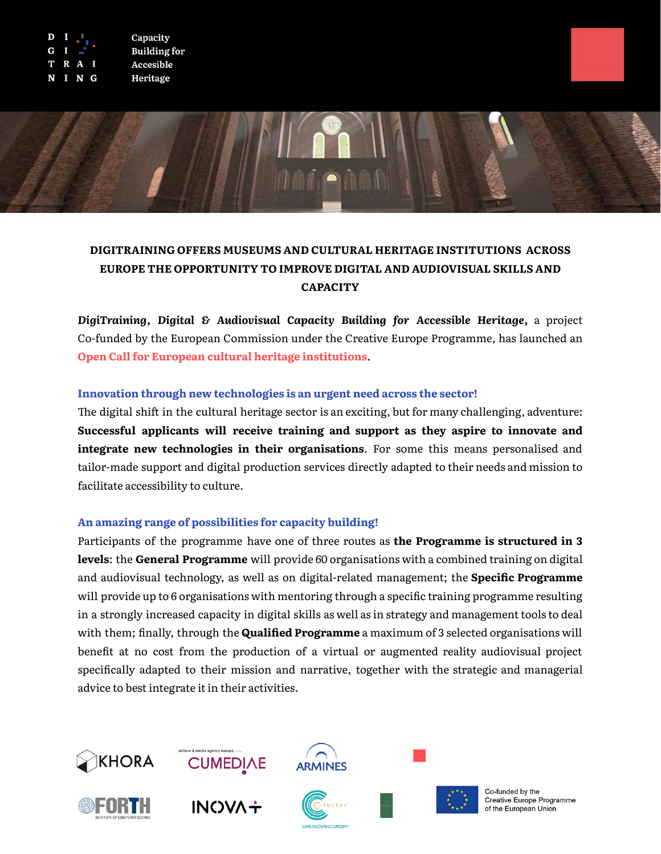



# **DIGITRAINING OFFERS MUSEUMS AND CULTURAL HERITAGE INSTITUTIONS ACROSS EUROPE THE OPPORTUNITY TO IMPROVE DIGITAL AND AUDIOVISUAL SKILLS AND CAPACITY**

*DigiTraining, Digital & Audiovisual Capacity Building for Accessible Heritage,* a project Co-funded by the European Commission under the Creative Europe Programme, has launched an **Open Call for European cultural heritage institutions**.

## **Innovation through new technologies is an urgent need across the sector!**

The digital shift in the cultural heritage sector is an exciting, but for many challenging, adventure: **Successful applicants will receive training and support as they aspire to innovate and integrate new technologies in their organisations**. For some this means personalised and tailor-made support and digital production services directly adapted to their needs and mission to facilitate accessibility to culture.

### **An amazing range of possibilities for capacity building!**

Participants of the programme have one of three routes as **the Programme is structured in 3 levels**: the **General Programme** will provide 60 organisations with a combined training on digital and audiovisual technology, as well as on digital-related management; the **Specific Programme** will provide up to 6 organisations with mentoring through a specific training programme resulting in a strongly increased capacity in digital skills as well as in strategy and management tools to deal with them; finally, through the **Qualified Programme** a maximum of 3 selected organisations will benefit at no cost from the production of a virtual or augmented reality audiovisual project specifically adapted to their mission and narrative, together with the strategic and managerial advice to best integrate it in their activities.